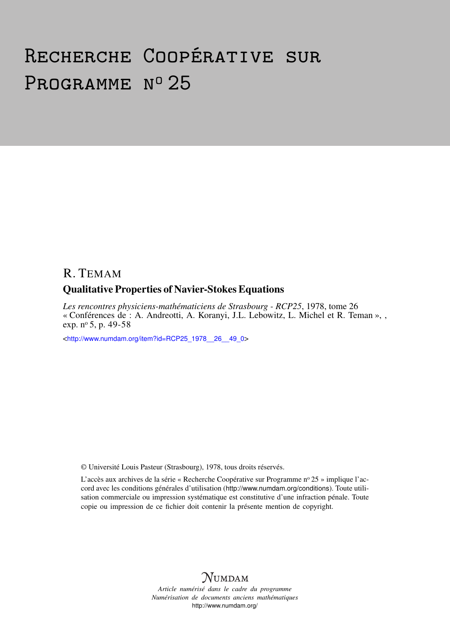# Recherche Coopérative sur PROGRAMME Nº 25

# R. TEMAM

## Qualitative Properties of Navier-Stokes Equations

*Les rencontres physiciens-mathématiciens de Strasbourg - RCP25*, 1978, tome 26 « Conférences de : A. Andreotti, A. Koranyi, J.L. Lebowitz, L. Michel et R. Teman », , exp. nº 5, p. 49-58

<[http://www.numdam.org/item?id=RCP25\\_1978\\_\\_26\\_\\_49\\_0](http://www.numdam.org/item?id=RCP25_1978__26__49_0)>

© Université Louis Pasteur (Strasbourg), 1978, tous droits réservés.

L'accès aux archives de la série « Recherche Coopérative sur Programme nº 25 » implique l'accord avec les conditions générales d'utilisation (<http://www.numdam.org/conditions>). Toute utilisation commerciale ou impression systématique est constitutive d'une infraction pénale. Toute copie ou impression de ce fichier doit contenir la présente mention de copyright.



*Article numérisé dans le cadre du programme Numérisation de documents anciens mathématiques* <http://www.numdam.org/>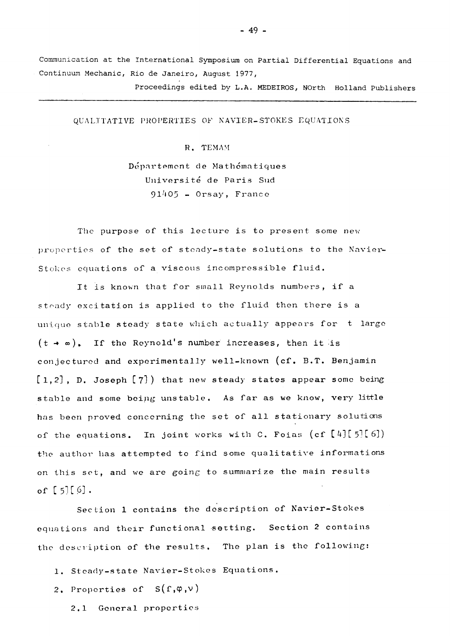**Communication at the International Symposium on Partial Differential Equations and Continuurn Mechanic, Rio de Janeiro, August 1977,** 

**Proceedings edited by L.A. MEDEIROS, NOrth Holland Publishers** 

QUALITATIVE PROPERTIES OF NAVIER-STOKES EQUATIONS

R. TEMAM

Département de Mathématiques Université de Paris Sud **91^05** - Orsay, France

The purpose of this lecture is to present some new propcrties of the set of stoady-state solutions to the Navier-Stokes equations of a viscous incompressible fluid.

It is known that for small Reynolds numbers, if a steady excitation is applied to the fluid then there is a unique stable stoady state which actually appears for t large  $(t \rightarrow \infty)$ . If the Reynold's number increases, then it is conjecturod and experimentally well-known **(cf.** B.T. Benjamin [l**,2],** D. Joseph **[7])** that new steady states appear some being stable and some being uns table. As far as **we** know, very little has been proved concorning the set of ail stationary solutions of the equations. In joint works with C. Foias (cf [4] [5] [6]) the author has attempted to find some qualitative informations on this set, and we are going to summarize the main results of  $[5][6]$ .

Section **1** contains the description of Navier-Stokes équations and their functional sotting. Section **2** contains the description of the results. The plan is the folloving:

- **1.** Stoady-state Navier-Stokes Equations.
- 2. Properties of  $S(f,\varphi,v)$ 
	- **2.1** General propcrties

**- 49 -**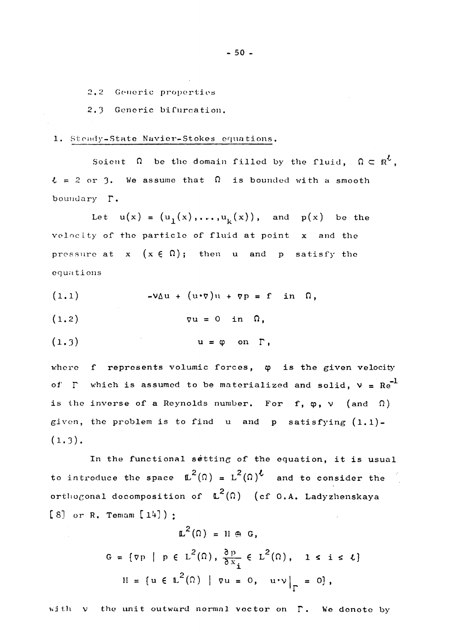2.2 Generic properties

**2.3** Gcncric bifurcation.

## **1**. Stoady-State Navier-Stokes équations.

Soient  $\Omega$  be the domain filled by the fluid,  $\Omega \subset \mathbb{R}^{\ell}$ ,  $t = 2$  or 3. We assume that  $\Omega$  is bounded with a smooth boundary  $\Gamma$ .

Let  $u(x) = (u_1(x), \ldots, u_k(x))$ , and  $p(x)$  be the velocity of the particle of fluid at point  $x$  and the pressure at  $x \in (x \in \Omega)$ ; then u and p satisfy the équations

 $(1.1)$   $-\nu \Delta u + (u \cdot \nabla) u + \nabla p = f$  in  $\Omega$ ,

 $(1.2)$   $\nabla u = 0$  in  $\Omega$ ,

$$
(1.3) \t\t u = \varphi \t on \t \Gamma,
$$

where  $f$  represents volumic forces,  $\varphi$  is the given velocity of  $\Gamma$  which is assumed to be materialized and solid,  $v = Re^{-1}$ is the inverse of a Reynolds number. For f,  $\varphi$ ,  $\vee$  (and  $\Omega$ ) given, the problem is to find u and p satisfying  $(1.1)$ - $(1.3)$ .

In the functional setting of the equation, it is usual to introduce the space  $\mathbb{L}^2(\Omega) = L^2(\Omega)$ <sup>t</sup> and to consider the orthogonal décomposition of L (Ω) (cf **0**,A. Ladyzhenskaya **C 8]** or R. Temam [ **1^1 ) ;** 

$$
\mathbb{L}^{2}(\Omega) = \mathbb{H} \oplus G,
$$
  
\n
$$
G = \{ \nabla P \mid P \in L^{2}(\Omega), \frac{\partial P}{\partial x_{i}} \in L^{2}(\Omega), \quad 1 \leq i \leq \ell \}
$$
  
\n
$$
\mathbb{H} = \{ u \in L^{2}(\Omega) \mid \nabla u = 0, \quad u \cdot \nu \big|_{\Gamma} = 0 \},
$$

with  $v$  the unit outward normal vector on  $\Gamma$ . We denote by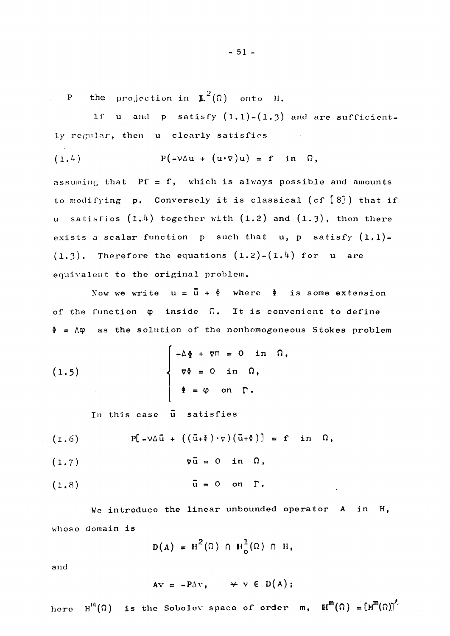the projection in  $\mathbb{L}^2(\Omega)$  onto H.  $P$ 

If u and p satisfy  $(1,1)-(1,3)$  and are sufficiently regular, then u clearly satisfies  $\mathcal{L}^{\text{max}}_{\text{max}}$  and  $\mathcal{L}^{\text{max}}_{\text{max}}$ 

$$
(1.4) \tP(-\nu \Delta u + (u \cdot \nabla) u) = f \tin \Omega,
$$

assuming that  $Pf = f$ , which is always possible and amounts to modifying p. Conversely it is classical (cf [8]) that if u satisfies  $(1,4)$  together with  $(1,2)$  and  $(1,3)$ , then there exists a scalar function  $p$  such that  $u$ ,  $p$  satisfy  $(1.1)$ - $(1.3)$ . Therefore the equations  $(1.2)-(1.4)$  for u are equivalent to the original problem.

Now we write  $u = \bar{u} + \bar{\phi}$  where  $\bar{\phi}$  is some extension of the function  $\varphi$  inside  $\Omega$ . It is convenient to define  $\Phi$  =  $\Lambda \varphi$  as the solution of the nonhomogeneous Stokes problem

(1.5) 
$$
\begin{cases}\n-\Delta \Phi + \nabla \Pi = 0 \text{ in } \Omega, \\
\nabla \Phi = 0 \text{ in } \Omega, \\
\Phi = \varphi \text{ on } \Gamma.\n\end{cases}
$$

In this case u satisfies

$$
(1.6) \tP[-\nu\Delta\bar{u} + ((\bar{u}+\Phi)\cdot\nabla)(\bar{u}+\Phi)] = f \tin \Omega,
$$

$$
(1.8) \t\t \t\t \bar{u} = 0 \t on \t \Gamma.
$$

We introduce the linear unbounded operator A in H, whose domain is

$$
D(A) = H^{2}(\Omega) \cap H^{1}_{o}(\Omega) \cap H,
$$

and

$$
Av = -P\Delta v, \qquad \forall v \in D(A);
$$

here  $H^m(\Omega)$  is the Sobolev space of order  $m$ ,  $H^m(\Omega) = [H^m(\Omega)]^L$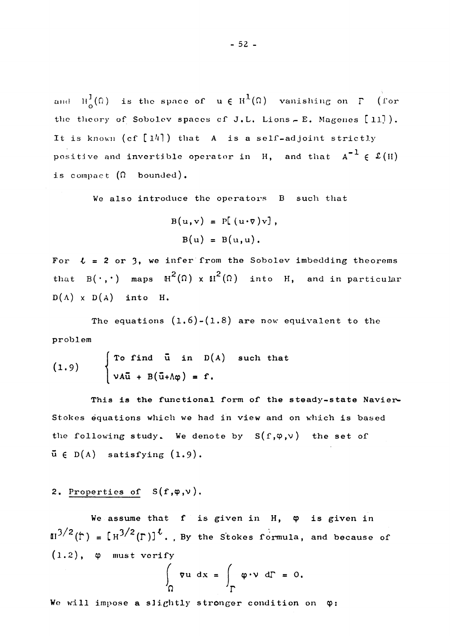and  $H^1(\Omega)$  is the space of  $u \in H^1(\Omega)$  vanishing on  $\Gamma$  (for the theory of Sobolev spaces of J.L. Lions - E. Magenes [11]). It is known  $(cf [14])$  that A is a self-adjoint strictly positive and invertible operator in  $H$ , and that  $A^{-1} \in \mathfrak{L}(H)$ is compact  $(\Omega$  bounded).

We also introduce the operators B such that

$$
B(u,v) = P[(u \cdot v)v],
$$
  

$$
B(u) = B(u,u).
$$

For  $l = 2$  or 3, we infer from the Sobolev imbedding theorems that  $B(\cdot, \cdot)$  maps  $H^2(\Omega) \times H^2(\Omega)$  into H, and in particular  $D(A) \times D(A)$  into H.

The equations  $(1.6)-(1.8)$  are now equivalent to the problem

(1.9) 
$$
\begin{cases} \text{To find } \bar{u} \text{ in } D(A) \text{ such that} \\ \nu A\bar{u} + B(\bar{u}+\Lambda\varphi) = f. \end{cases}
$$

This is the functional form of the steady-state Navier-Stokes équations which we had in view and on which is based the following study. We denote by  $S(f,\varphi,\nu)$  the set of  $\bar{u} \in D(A)$  satisfying  $(1.9)$ .

## 2. Properties of  $S(f,\varphi,\nu)$ .

We assume that  $f$  is given in H,  $\varphi$  is given in  $\mathbb{H}^{3/2}(\hat{\Gamma}) = [\mathbb{H}^{3/2}(\Gamma)]^{\vee}$ ., By the Stokes formula, and because of  $(1.2)$ , φ must verify *f f* 

$$
\nabla u \, dx = \int_{\Gamma} \varphi \cdot v \, d\Gamma = 0.
$$

We will impose a slightly stronger condition on  $\varphi$ :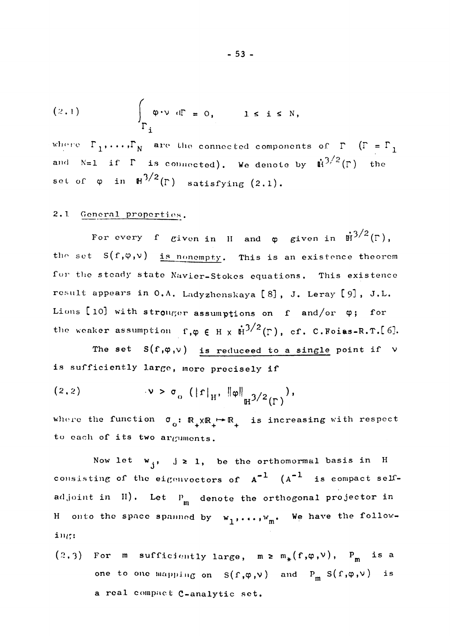$$
(2.1) \qquad \int_{\Gamma_{\mathbf{i}}} \varphi \cdot \nu \, d\Gamma = 0, \qquad 1 \leq \mathbf{i} \leq N,
$$

where  $\Gamma_1, \ldots, \Gamma_N$  are the connected components of  $\Gamma$  ( $\Gamma = \Gamma_1$ and N=1 if  $\Gamma$  is connected). We denote by  $\dot{H}^{3/2}(\Gamma)$  the set of  $\varphi$  in  $H^{3/2}(\Gamma)$  satisfying  $(2.1)$ .

## 2.1 General properties.

For every f given in H and  $\varphi$  given in  $\dot{H}^{3/2}(\Gamma)$ , the set  $S(f,\varphi,\nu)$  is nonempty. This is an existence theorem for the steady state Navier-Stokes equations. This existence result appears in 0.A. Ladyzhenskaya [8], J. Leray [9], J.L. Lions [10] with stronger assumptions on  $f$  and/or  $\varphi$ ; for the weaker assumption  $f, \varphi \in H \times \dot{H}^{3/2}(\Gamma)$ , cf. C. Foiss-R.T.[6].

The set  $S(f,\varphi,\nu)$  is reduceed to a single point if  $\nu$ is sufficiently large, more precisely if

$$
(2.2) \t v > \sigma_0 (\|f\|_H, \|\phi\|_{H^{3/2}(\Gamma)}),
$$

where the function  $\sigma_0: \mathbb{R}_+ \times \mathbb{R}_+ \to \mathbb{R}_+$  is increasing with respect to each of its two arguments.

Now let  $w_{i}$ , j  $\geq 1$ , be the orthomormal basis in H consisting of the eigenvectors of  $A^{-1}$   $(A^{-1}$  is compact selfadjoint in  $\text{II}$ ). Let  $P_{\text{m}}$  denote the orthogonal projector in H onto the space spanned by  $w_1, \ldots, w_m$ . We have the following:

 $(2,3)$  For m sufficiently large, m  $\geq m_{*}(f,\varphi,\nu)$ ,  $P_{m}$  is a one to one mapping on  $S(f,\varphi,\nu)$  and  $P_m S(f,\varphi,\nu)$  is a real compact C-analytic set.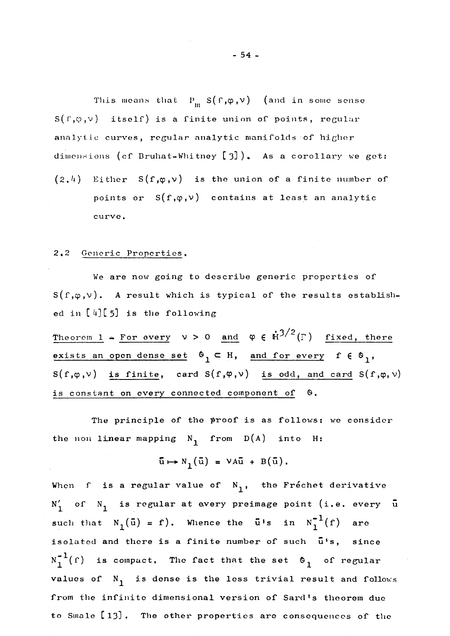This means that  $P_m S(f,\varphi,\nu)$  (and in some sense  $S(f,\varphi,\nu)$  itself) is a finite union of points, regular analytic curves, regular analytic manifolds of higher dimensions (cf Bruhat-Whitney [3]). As a corollary we get:  $(2,4)$  Either S(f, $\varphi,\nu$ ) is the union of a finite number of points or  $S(f,\varphi,\nu)$  contains at least an analytic curve.

## **2·2** Generic Properties.

We are now going to describe generic properties of  $S(f,\varphi,\nu)$ . A result which is typical of the results established in  $[4][5]$  is the following

Theorem 1 + For every  $v > 0$  and  $\varphi \in \dot{H}^{3/2}(\Gamma)$  fixed, there exists an open dense set  $\mathfrak{G}_1 \subset \mathfrak{H}$ , and for every f  $\in \mathfrak{G}_1$ ,  $S(f,\varphi,\nu)$  is finite, card  $S(f,\varphi,\nu)$  is odd, and card  $S(f,\varphi,\nu)$ is constant on every connected component of  $\theta$ .

The principle of the proof is as follows: we consider the non linear mapping  $N_1$  from  $D(A)$  into H:

$$
\overline{\mathbf{u}} \mapsto \mathbf{N}_{1}(\overline{\mathbf{u}}) = \mathbf{V} \mathbf{A} \overline{\mathbf{u}} + \mathbf{B}(\overline{\mathbf{u}}).
$$

When f is a regular value of  $N_1$ , the Fréchet derivative  $N'_1$  of  $N_1$  is regular at every preimage point (i.e. every  $\bar{u}$ such that  $N_1(\bar{u}) = f$ ). Whence the  $\bar{u}$ 's in  $N_1^{-1}(f)$  are isolated and there is a finite number of such  $\bar{u}$ 's, since  $N_1^{-1}(\Gamma)$  is compact. The fact that the set  $\mathfrak{G}_1$  of regular values of  $N_1$  is dense is the less trivial result and follows from the infinite dimensional version of Sard's theorem due to Smale [13]. The other properties are consequences of the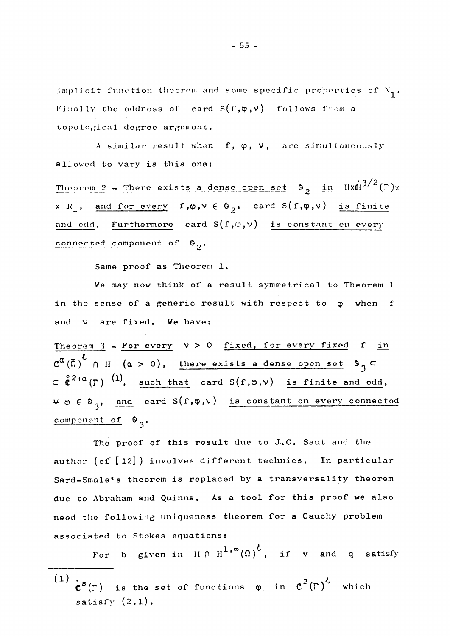implicit function theorem and some specific properties of  $N_1$ . Finally the oddness of card  $S(f,\varphi,\nu)$  follows from a topological degree argument.

A similar result when  $f, \varphi, \nu$ , are simultaneously allowed to vary is this one:

Theorem 2 - There exists a dense open set  $\theta_2$  in  $HxH^{3/2}(\Gamma)x$  $X \mathbb{R}_+$ , and for every  $f, \varphi, \nu \in \mathfrak{G}_2$ , card  $S(f, \varphi, \nu)$  is finite and odd. Furthermore card  $S(f,\varphi,\nu)$  is constant on every connected component of  $\mathfrak{G}_2$ .

Same proof as Theorem 1.

We may now think of a result symmetrical to Theorem 1 in the sense of a generic result with respect to  $\varphi$  when f and  $\nu$  are fixed. We have:

Theorem  $3$  - For every  $v > 0$  fixed, for every fixed f in  $\overline{c^{\alpha}}$ ( $\overline{a}$ )<sup>t</sup>  $\cap$  H ( $\alpha > 0$ ), there exists a dense open set  $\circ$ <sub>3</sub>  $\subset$   $\overset{\circ}{\mathfrak{e}}^{2+\alpha}(\Gamma)$  (1), such that card  $S(f,\varphi,\nu)$  is finite and odd,  $\forall \varphi \in \mathfrak{G}_3$ , and card  $S(f, \varphi, \nu)$  is constant on every connected component of  $\mathfrak{G}_3$ .

The proof of this result due to J.C. Saut and the author (cf [12]) involves different technics. In particular Sard-Smale's theorem is replaced by a transversality theorem due to Abraham and Quinns. As a tool for this proof we also need the following uniqueness theorem for a Cauchy problem associated to Stokes equations:

For b given in  $H \cap H^{1,\infty}(\Omega)^{\ell}$ , if v and q satisfy

(1)  $\mathbf{c}^s(\Gamma)$  is the set of functions  $\varphi$  in  $\mathbf{c}^2(\Gamma)^k$  which satisfy  $(2.1)$ .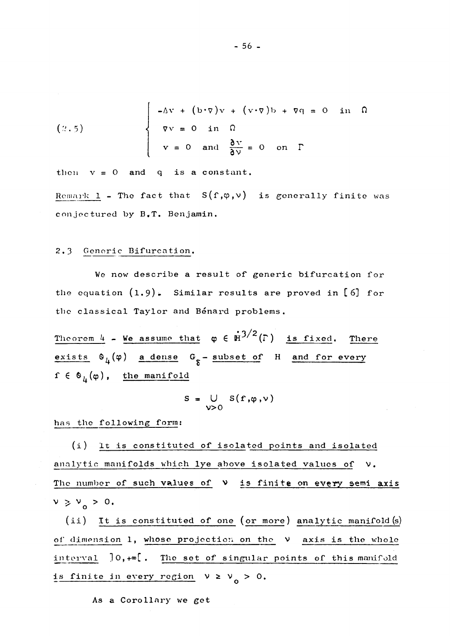$$
(2.5)
$$
\n
$$
\nabla v = 0 \quad \text{in} \quad \Omega
$$
\n
$$
v = 0 \quad \text{and} \quad \frac{\partial v}{\partial v} = 0 \quad \text{on} \quad \Gamma
$$

then  $v = 0$  and q is a constant.

Remark 1 - The fact that  $S(f,\varphi,v)$  is generally finite was conjectured by  $B_{\bullet}T_{\bullet}$  Benjamin.

## 2.3 Generic Bifurcation.

We now describe a resuit of generic bifurcation for the cquation **(1.9)·** Similar rosults are proved in **[6]** for the classical Taylor and Bénard problems.

 $\frac{\text{Theorem 4}}{4}$  - We assume that  $\varphi \in \mathbb{H}^{3/2}(\Gamma)$  is fixed. There exists  $\Theta_{I_i}(\varphi)$  a dense  $G_{\varphi}$  - subset of H and for every q. ç \_\_\_\_\_\_\_\_\_\_ \_  $f \in \mathfrak{G}_{\mu}(\varphi)$ , the manifold

$$
S = \bigcup_{\mathsf{V}>0} S(f,\varphi,\mathsf{v})
$$

bas the following form:

(i) It is constituted of isolated points and isolated analytic manifolds which lye above isolated values of V. The number of such values of  $\nu$  is finite on every semi axis **>, >** 0. ' ο

(ii) It is constituted of one (or more) analytic manifold  $(s)$ of dimension 1, whose projection on the  $v$  axis is the whole in te rv al ]0**,+œ[.** The set of singular points of this manifold is finite in every region  $V > V_0 > 0$ .

As a Corollary we get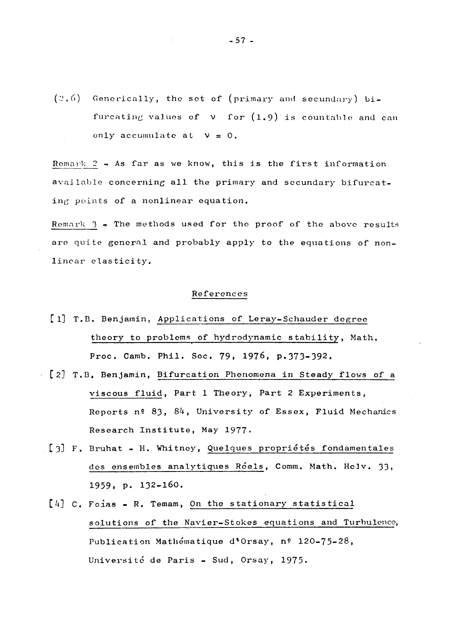$(2.6)$  Generically, the set of (primary and secundary) bifurcating values of V for (l**.9**)'is countable and can only accumulate at  $V = 0$ .

Remark **2** - As far as we know, this is the first information available concerning ail the primary and secundary bifurcating points of a nonlinear equation.

Remark  $3 \div$  The methods used for the proof of the above results are quite general and probably apply to the equations of nonlinear elasticity.

## Références

- [1] T.B. Benjamin, Applications of Leray-Schauder degree theory to problems of hydrodynamic stability, Math. Proc. Camb. Phil. Soc. **79, 1976,** p.**373-392.**
- **[2]** T.B. Benjamin, Bifurcation Phenomena in Steady flows of a viscous fluid, Part **1** Theory, Part **2** Experiments, Reports n° **83, 84,** University of Essex, Fluid Mechanics Research Institute, May **1977.**
- **[3]** F. Bruhat H. Whitney, Quelques propriétés fondamentales des ensembles analytiques Réels, Comm. Math. Helv. **33,**  1959, p. 132-160.
	- **[4] C.** Foias R. Temam, On the stationary statistical solutions of the Navier-Stokes equations and Turbulence, Publication Mathématique d'Orsay, n° **120-75-28,**  Université de Paris - Sud, Orsay, **1975.**